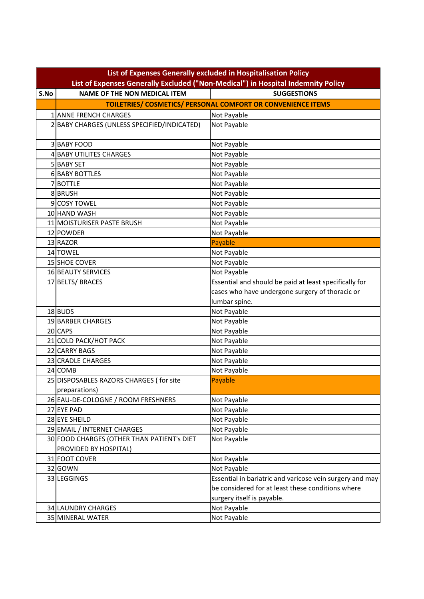| List of Expenses Generally Excluded ("Non-Medical") in Hospital Indemnity Policy<br><b>NAME OF THE NON MEDICAL ITEM</b><br><b>SUGGESTIONS</b><br>S.No<br>TOILETRIES/ COSMETICS/ PERSONAL COMFORT OR CONVENIENCE ITEMS |  |
|-----------------------------------------------------------------------------------------------------------------------------------------------------------------------------------------------------------------------|--|
|                                                                                                                                                                                                                       |  |
|                                                                                                                                                                                                                       |  |
|                                                                                                                                                                                                                       |  |
| Not Payable<br>1 ANNE FRENCH CHARGES                                                                                                                                                                                  |  |
| Not Payable<br>2 BABY CHARGES (UNLESS SPECIFIED/INDICATED)                                                                                                                                                            |  |
|                                                                                                                                                                                                                       |  |
| <b>3 BABY FOOD</b><br>Not Payable                                                                                                                                                                                     |  |
| 4 BABY UTILITES CHARGES<br>Not Payable                                                                                                                                                                                |  |
| 5 BABY SET<br>Not Payable                                                                                                                                                                                             |  |
| <b>6 BABY BOTTLES</b><br>Not Payable                                                                                                                                                                                  |  |
| Not Payable<br>7BOTTLE                                                                                                                                                                                                |  |
| 8BRUSH<br>Not Payable                                                                                                                                                                                                 |  |
| 9 COSY TOWEL<br>Not Payable                                                                                                                                                                                           |  |
| Not Payable<br>10 HAND WASH                                                                                                                                                                                           |  |
| Not Payable<br>11 MOISTURISER PASTE BRUSH                                                                                                                                                                             |  |
| 12 POWDER<br>Not Payable                                                                                                                                                                                              |  |
| Payable<br>13 RAZOR                                                                                                                                                                                                   |  |
| Not Payable<br>14 TOWEL                                                                                                                                                                                               |  |
| 15 SHOE COVER<br>Not Payable                                                                                                                                                                                          |  |
| 16 BEAUTY SERVICES<br>Not Payable                                                                                                                                                                                     |  |
| 17 BELTS/ BRACES<br>Essential and should be paid at least specifically for                                                                                                                                            |  |
| cases who have undergone surgery of thoracic or                                                                                                                                                                       |  |
| lumbar spine.                                                                                                                                                                                                         |  |
| 18 BUDS<br>Not Payable                                                                                                                                                                                                |  |
| 19 BARBER CHARGES<br>Not Payable                                                                                                                                                                                      |  |
| 20 CAPS<br>Not Payable                                                                                                                                                                                                |  |
| 21 COLD PACK/HOT PACK<br>Not Payable                                                                                                                                                                                  |  |
| 22 CARRY BAGS<br>Not Payable                                                                                                                                                                                          |  |
| Not Payable<br>23 CRADLE CHARGES                                                                                                                                                                                      |  |
| Not Payable<br>24 COMB                                                                                                                                                                                                |  |
| Payable<br>25 DISPOSABLES RAZORS CHARGES (for site                                                                                                                                                                    |  |
| preparations)                                                                                                                                                                                                         |  |
| 26 EAU-DE-COLOGNE / ROOM FRESHNERS<br>Not Payable                                                                                                                                                                     |  |
| 27 EYE PAD<br>Not Payable                                                                                                                                                                                             |  |
| 28 EYE SHEILD<br>Not Payable                                                                                                                                                                                          |  |
| Not Payable<br>29 EMAIL / INTERNET CHARGES                                                                                                                                                                            |  |
| 30 FOOD CHARGES (OTHER THAN PATIENT's DIET<br>Not Payable                                                                                                                                                             |  |
| PROVIDED BY HOSPITAL)                                                                                                                                                                                                 |  |
| Not Payable<br>31 FOOT COVER                                                                                                                                                                                          |  |
| 32 GOWN<br>Not Payable                                                                                                                                                                                                |  |
| 33 LEGGINGS<br>Essential in bariatric and varicose vein surgery and may                                                                                                                                               |  |
| be considered for at least these conditions where                                                                                                                                                                     |  |
| surgery itself is payable.                                                                                                                                                                                            |  |
| Not Payable<br>34 LAUNDRY CHARGES                                                                                                                                                                                     |  |
| Not Payable<br>35 MINERAL WATER                                                                                                                                                                                       |  |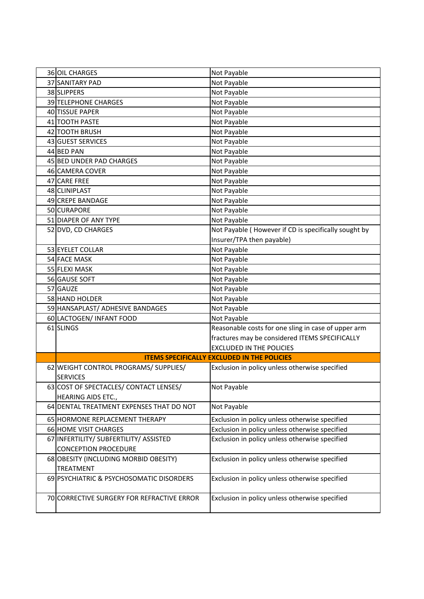| 36 OIL CHARGES                             | Not Payable                                          |
|--------------------------------------------|------------------------------------------------------|
| 37 SANITARY PAD                            | Not Payable                                          |
| 38 SLIPPERS                                | Not Payable                                          |
| 39 TELEPHONE CHARGES                       | Not Payable                                          |
| 40 TISSUE PAPER                            | Not Payable                                          |
| 41 TOOTH PASTE                             | Not Payable                                          |
| 42 TOOTH BRUSH                             | Not Payable                                          |
| 43 GUEST SERVICES                          | Not Payable                                          |
| 44 BED PAN                                 | Not Payable                                          |
| 45 BED UNDER PAD CHARGES                   | Not Payable                                          |
| 46 CAMERA COVER                            | Not Payable                                          |
| 47 CARE FREE                               | Not Payable                                          |
| 48 CLINIPLAST                              | Not Payable                                          |
| 49 CREPE BANDAGE                           | Not Payable                                          |
| 50 CURAPORE                                | Not Payable                                          |
| 51 DIAPER OF ANY TYPE                      | Not Payable                                          |
| 52 DVD, CD CHARGES                         | Not Payable (However if CD is specifically sought by |
|                                            | Insurer/TPA then payable)                            |
| 53 EYELET COLLAR                           | Not Payable                                          |
| <b>54 FACE MASK</b>                        | Not Payable                                          |
| 55 FLEXI MASK                              | Not Payable                                          |
| 56 GAUSE SOFT                              | Not Payable                                          |
| 57 GAUZE                                   | Not Payable                                          |
| 58 HAND HOLDER                             | Not Payable                                          |
| 59 HANSAPLAST/ ADHESIVE BANDAGES           | Not Payable                                          |
| 60 LACTOGEN/ INFANT FOOD                   | Not Payable                                          |
| 61 SLINGS                                  | Reasonable costs for one sling in case of upper arm  |
|                                            | fractures may be considered ITEMS SPECIFICALLY       |
|                                            | <b>EXCLUDED IN THE POLICIES</b>                      |
|                                            | <b>ITEMS SPECIFICALLY EXCLUDED IN THE POLICIES</b>   |
| 62 WEIGHT CONTROL PROGRAMS/ SUPPLIES/      | Exclusion in policy unless otherwise specified       |
| <b>SERVICES</b>                            |                                                      |
| 63 COST OF SPECTACLES/ CONTACT LENSES/     | Not Payable                                          |
| HEARING AIDS ETC.,                         |                                                      |
| 64 DENTAL TREATMENT EXPENSES THAT DO NOT   | Not Payable                                          |
| 65 HORMONE REPLACEMENT THERAPY             | Exclusion in policy unless otherwise specified       |
| <b>66 HOME VISIT CHARGES</b>               | Exclusion in policy unless otherwise specified       |
| 67 INFERTILITY/ SUBFERTILITY/ ASSISTED     | Exclusion in policy unless otherwise specified       |
| <b>CONCEPTION PROCEDURE</b>                |                                                      |
| 68 OBESITY (INCLUDING MORBID OBESITY)      | Exclusion in policy unless otherwise specified       |
| <b>TREATMENT</b>                           |                                                      |
| 69 PSYCHIATRIC & PSYCHOSOMATIC DISORDERS   | Exclusion in policy unless otherwise specified       |
|                                            |                                                      |
| 70 CORRECTIVE SURGERY FOR REFRACTIVE ERROR | Exclusion in policy unless otherwise specified       |
|                                            |                                                      |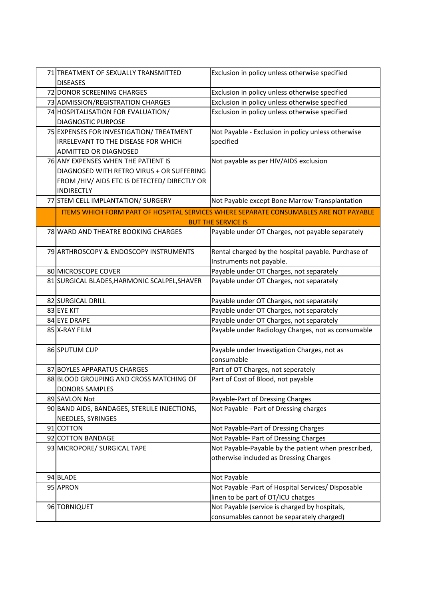| 71 TREATMENT OF SEXUALLY TRANSMITTED         | Exclusion in policy unless otherwise specified                                               |
|----------------------------------------------|----------------------------------------------------------------------------------------------|
| <b>DISEASES</b>                              |                                                                                              |
| 72 DONOR SCREENING CHARGES                   | Exclusion in policy unless otherwise specified                                               |
| 73 ADMISSION/REGISTRATION CHARGES            | Exclusion in policy unless otherwise specified                                               |
| 74 HOSPITALISATION FOR EVALUATION/           | Exclusion in policy unless otherwise specified                                               |
| <b>DIAGNOSTIC PURPOSE</b>                    |                                                                                              |
| 75 EXPENSES FOR INVESTIGATION/ TREATMENT     | Not Payable - Exclusion in policy unless otherwise                                           |
| IRRELEVANT TO THE DISEASE FOR WHICH          | specified                                                                                    |
| <b>ADMITTED OR DIAGNOSED</b>                 |                                                                                              |
| 76 ANY EXPENSES WHEN THE PATIENT IS          | Not payable as per HIV/AIDS exclusion                                                        |
| DIAGNOSED WITH RETRO VIRUS + OR SUFFERING    |                                                                                              |
| FROM /HIV/ AIDS ETC IS DETECTED/ DIRECTLY OR |                                                                                              |
| <b>INDIRECTLY</b>                            |                                                                                              |
| 77 STEM CELL IMPLANTATION/ SURGERY           | Not Payable except Bone Marrow Transplantation                                               |
|                                              | <b>ITEMS WHICH FORM PART OF HOSPITAL SERVICES WHERE SEPARATE CONSUMABLES ARE NOT PAYABLE</b> |
|                                              | <b>BUT THE SERVICE IS</b>                                                                    |
| 78 WARD AND THEATRE BOOKING CHARGES          | Payable under OT Charges, not payable separately                                             |
| 79 ARTHROSCOPY & ENDOSCOPY INSTRUMENTS       | Rental charged by the hospital payable. Purchase of                                          |
|                                              | Instruments not payable.                                                                     |
| 80 MICROSCOPE COVER                          | Payable under OT Charges, not separately                                                     |
| 81 SURGICAL BLADES, HARMONIC SCALPEL, SHAVER | Payable under OT Charges, not separately                                                     |
| 82 SURGICAL DRILL                            | Payable under OT Charges, not separately                                                     |
| 83 EYE KIT                                   | Payable under OT Charges, not separately                                                     |
| 84 EYE DRAPE                                 | Payable under OT Charges, not separately                                                     |
| 85 X-RAY FILM                                | Payable under Radiology Charges, not as consumable                                           |
| 86 SPUTUM CUP                                | Payable under Investigation Charges, not as                                                  |
|                                              | consumable                                                                                   |
| 87 BOYLES APPARATUS CHARGES                  | Part of OT Charges, not seperately                                                           |
| 88 BLOOD GROUPING AND CROSS MATCHING OF      | Part of Cost of Blood, not payable                                                           |
| <b>DONORS SAMPLES</b>                        |                                                                                              |
| 89 SAVLON Not                                | Payable-Part of Dressing Charges                                                             |
| 90 BAND AIDS, BANDAGES, STERLILE INJECTIONS, | Not Payable - Part of Dressing charges                                                       |
| NEEDLES, SYRINGES                            |                                                                                              |
| 91 COTTON                                    | Not Payable-Part of Dressing Charges                                                         |
| 92 COTTON BANDAGE                            | Not Payable- Part of Dressing Charges                                                        |
| 93 MICROPORE/ SURGICAL TAPE                  | Not Payable-Payable by the patient when prescribed,                                          |
|                                              | otherwise included as Dressing Charges                                                       |
| 94 BLADE                                     | Not Payable                                                                                  |
| 95 APRON                                     | Not Payable -Part of Hospital Services/ Disposable                                           |
|                                              | linen to be part of OT/ICU chatges                                                           |
| 96 TORNIQUET                                 | Not Payable (service is charged by hospitals,                                                |
|                                              | consumables cannot be separately charged)                                                    |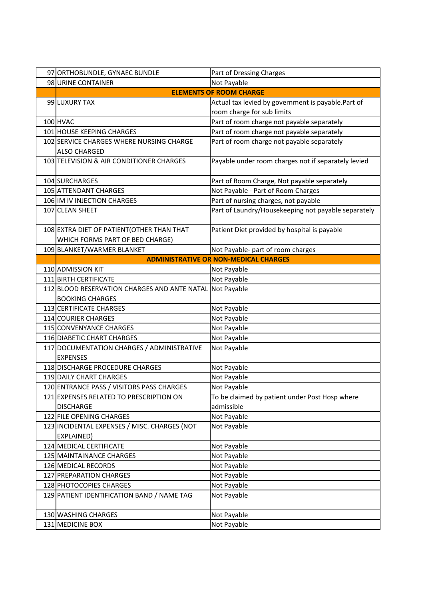| 97 ORTHOBUNDLE, GYNAEC BUNDLE                            | Part of Dressing Charges                            |
|----------------------------------------------------------|-----------------------------------------------------|
| 98 URINE CONTAINER                                       | Not Payable                                         |
|                                                          | <b>ELEMENTS OF ROOM CHARGE</b>                      |
| 99 LUXURY TAX                                            | Actual tax levied by government is payable.Part of  |
|                                                          | room charge for sub limits                          |
| 100 HVAC                                                 | Part of room charge not payable separately          |
| 101 HOUSE KEEPING CHARGES                                | Part of room charge not payable separately          |
| 102 SERVICE CHARGES WHERE NURSING CHARGE                 | Part of room charge not payable separately          |
| <b>ALSO CHARGED</b>                                      |                                                     |
| 103 TELEVISION & AIR CONDITIONER CHARGES                 | Payable under room charges not if separately levied |
|                                                          |                                                     |
| 104 SURCHARGES                                           | Part of Room Charge, Not payable separately         |
| 105 ATTENDANT CHARGES                                    | Not Payable - Part of Room Charges                  |
| 106 IM IV INJECTION CHARGES                              | Part of nursing charges, not payable                |
| 107 CLEAN SHEET                                          | Part of Laundry/Housekeeping not payable separately |
|                                                          |                                                     |
| 108 EXTRA DIET OF PATIENT (OTHER THAN THAT               | Patient Diet provided by hospital is payable        |
| WHICH FORMS PART OF BED CHARGE)                          |                                                     |
| 109 BLANKET/WARMER BLANKET                               | Not Payable- part of room charges                   |
|                                                          | <b>ADMINISTRATIVE OR NON-MEDICAL CHARGES</b>        |
| 110 ADMISSION KIT                                        | Not Payable                                         |
| 111 BIRTH CERTIFICATE                                    | Not Payable                                         |
| 112 BLOOD RESERVATION CHARGES AND ANTE NATAL Not Payable |                                                     |
| <b>BOOKING CHARGES</b>                                   |                                                     |
| 113 CERTIFICATE CHARGES                                  | Not Payable                                         |
| 114 COURIER CHARGES                                      | Not Payable                                         |
| 115 CONVENYANCE CHARGES                                  | Not Payable                                         |
| 116 DIABETIC CHART CHARGES                               | Not Payable                                         |
| 117 DOCUMENTATION CHARGES / ADMINISTRATIVE               | Not Payable                                         |
| <b>EXPENSES</b>                                          |                                                     |
| 118 DISCHARGE PROCEDURE CHARGES                          | Not Payable                                         |
| 119 DAILY CHART CHARGES                                  | Not Payable                                         |
| 120 ENTRANCE PASS / VISITORS PASS CHARGES                | Not Payable                                         |
| 121 EXPENSES RELATED TO PRESCRIPTION ON                  | To be claimed by patient under Post Hosp where      |
| <b>DISCHARGE</b>                                         | admissible                                          |
| 122 FILE OPENING CHARGES                                 | Not Payable                                         |
| 123 INCIDENTAL EXPENSES / MISC. CHARGES (NOT             | Not Payable                                         |
| EXPLAINED)                                               |                                                     |
| 124 MEDICAL CERTIFICATE                                  | Not Payable                                         |
| 125 MAINTAINANCE CHARGES                                 | Not Payable                                         |
| 126 MEDICAL RECORDS                                      | Not Payable                                         |
| 127 PREPARATION CHARGES                                  | Not Payable                                         |
| 128 PHOTOCOPIES CHARGES                                  | Not Payable                                         |
| 129 PATIENT IDENTIFICATION BAND / NAME TAG               | Not Payable                                         |
|                                                          |                                                     |
| 130 WASHING CHARGES                                      | Not Payable                                         |
| 131 MEDICINE BOX                                         | Not Payable                                         |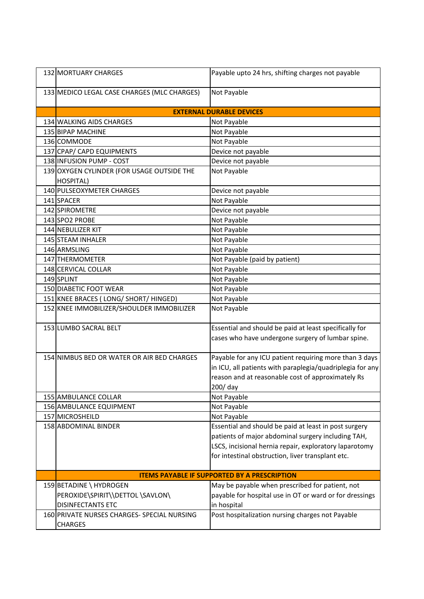| 132 MORTUARY CHARGES                                                                    | Payable upto 24 hrs, shifting charges not payable                                                                                                                                                                          |
|-----------------------------------------------------------------------------------------|----------------------------------------------------------------------------------------------------------------------------------------------------------------------------------------------------------------------------|
| 133 MEDICO LEGAL CASE CHARGES (MLC CHARGES)                                             | Not Payable                                                                                                                                                                                                                |
|                                                                                         | <b>EXTERNAL DURABLE DEVICES</b>                                                                                                                                                                                            |
| 134 WALKING AIDS CHARGES                                                                | Not Payable                                                                                                                                                                                                                |
| 135 BIPAP MACHINE                                                                       | Not Payable                                                                                                                                                                                                                |
| 136 COMMODE                                                                             | Not Payable                                                                                                                                                                                                                |
| 137 CPAP/ CAPD EQUIPMENTS                                                               | Device not payable                                                                                                                                                                                                         |
| 138 INFUSION PUMP - COST                                                                | Device not payable                                                                                                                                                                                                         |
| 139 OXYGEN CYLINDER (FOR USAGE OUTSIDE THE<br><b>HOSPITAL)</b>                          | Not Payable                                                                                                                                                                                                                |
| 140 PULSEOXYMETER CHARGES                                                               | Device not payable                                                                                                                                                                                                         |
| 141 SPACER                                                                              | Not Payable                                                                                                                                                                                                                |
| 142 SPIROMETRE                                                                          | Device not payable                                                                                                                                                                                                         |
| 143 SPO2 PROBE                                                                          | Not Payable                                                                                                                                                                                                                |
| 144 NEBULIZER KIT                                                                       | Not Payable                                                                                                                                                                                                                |
| 145 STEAM INHALER                                                                       | Not Payable                                                                                                                                                                                                                |
| 146 ARMSLING                                                                            | Not Payable                                                                                                                                                                                                                |
| 147 THERMOMETER                                                                         | Not Payable (paid by patient)                                                                                                                                                                                              |
| 148 CERVICAL COLLAR                                                                     | Not Payable                                                                                                                                                                                                                |
| 149 SPLINT                                                                              | Not Payable                                                                                                                                                                                                                |
| 150 DIABETIC FOOT WEAR                                                                  | Not Payable                                                                                                                                                                                                                |
| 151 KNEE BRACES (LONG/ SHORT/ HINGED)                                                   | Not Payable                                                                                                                                                                                                                |
| 152 KNEE IMMOBILIZER/SHOULDER IMMOBILIZER                                               | Not Payable                                                                                                                                                                                                                |
| 153 LUMBO SACRAL BELT                                                                   | Essential and should be paid at least specifically for<br>cases who have undergone surgery of lumbar spine.                                                                                                                |
| 154 NIMBUS BED OR WATER OR AIR BED CHARGES                                              | Payable for any ICU patient requiring more than 3 days<br>in ICU, all patients with paraplegia/quadriplegia for any<br>reason and at reasonable cost of approximately Rs<br>200/ day                                       |
| 155 AMBULANCE COLLAR                                                                    | Not Payable                                                                                                                                                                                                                |
| 156 AMBULANCE EQUIPMENT                                                                 | Not Payable                                                                                                                                                                                                                |
| 157 MICROSHEILD                                                                         | Not Payable                                                                                                                                                                                                                |
| 158 ABDOMINAL BINDER                                                                    | Essential and should be paid at least in post surgery<br>patients of major abdominal surgery including TAH,<br>LSCS, incisional hernia repair, exploratory laparotomy<br>for intestinal obstruction, liver transplant etc. |
|                                                                                         | <b>ITEMS PAYABLE IF SUPPORTED BY A PRESCRIPTION</b>                                                                                                                                                                        |
| 159 BETADINE \ HYDROGEN<br>PEROXIDE\SPIRIT\\DETTOL \SAVLON\<br><b>DISINFECTANTS ETC</b> | May be payable when prescribed for patient, not<br>payable for hospital use in OT or ward or for dressings<br>in hospital                                                                                                  |
| 160 PRIVATE NURSES CHARGES- SPECIAL NURSING<br><b>CHARGES</b>                           | Post hospitalization nursing charges not Payable                                                                                                                                                                           |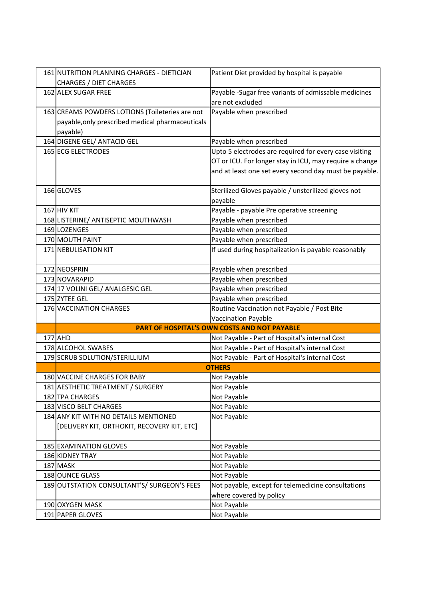| 161 NUTRITION PLANNING CHARGES - DIETICIAN       | Patient Diet provided by hospital is payable            |
|--------------------------------------------------|---------------------------------------------------------|
| <b>CHARGES / DIET CHARGES</b>                    |                                                         |
| 162 ALEX SUGAR FREE                              | Payable -Sugar free variants of admissable medicines    |
|                                                  | are not excluded                                        |
| 163 CREAMS POWDERS LOTIONS (Toileteries are not  | Payable when prescribed                                 |
| payable, only prescribed medical pharmaceuticals |                                                         |
| payable)                                         |                                                         |
| 164 DIGENE GEL/ ANTACID GEL                      | Payable when prescribed                                 |
| <b>165 ECG ELECTRODES</b>                        | Upto 5 electrodes are required for every case visiting  |
|                                                  | OT or ICU. For longer stay in ICU, may require a change |
|                                                  | and at least one set every second day must be payable.  |
|                                                  |                                                         |
| 166 GLOVES                                       | Sterilized Gloves payable / unsterilized gloves not     |
|                                                  | payable                                                 |
| 167 HIV KIT                                      | Payable - payable Pre operative screening               |
| 168 LISTERINE/ ANTISEPTIC MOUTHWASH              | Payable when prescribed                                 |
| 169 LOZENGES                                     | Payable when prescribed                                 |
| 170 MOUTH PAINT                                  | Payable when prescribed                                 |
| 171 NEBULISATION KIT                             | If used during hospitalization is payable reasonably    |
|                                                  |                                                         |
| 172 NEOSPRIN                                     | Payable when prescribed                                 |
| 173 NOVARAPID                                    | Payable when prescribed                                 |
| 174 17 VOLINI GEL/ ANALGESIC GEL                 | Payable when prescribed                                 |
| 175 ZYTEE GEL                                    | Payable when prescribed                                 |
| 176 VACCINATION CHARGES                          | Routine Vaccination not Payable / Post Bite             |
|                                                  | Vaccination Payable                                     |
|                                                  | PART OF HOSPITAL'S OWN COSTS AND NOT PAYABLE            |
| 177 AHD                                          | Not Payable - Part of Hospital's internal Cost          |
| 178 ALCOHOL SWABES                               | Not Payable - Part of Hospital's internal Cost          |
| 179 SCRUB SOLUTION/STERILLIUM                    | Not Payable - Part of Hospital's internal Cost          |
|                                                  | <b>OTHERS</b>                                           |
| 180 VACCINE CHARGES FOR BABY                     | Not Payable                                             |
| 181 AESTHETIC TREATMENT / SURGERY                | Not Payable                                             |
| 182 TPA CHARGES                                  | Not Payable                                             |
| 183 VISCO BELT CHARGES                           | Not Payable                                             |
| 184 ANY KIT WITH NO DETAILS MENTIONED            | Not Payable                                             |
| [DELIVERY KIT, ORTHOKIT, RECOVERY KIT, ETC]      |                                                         |
|                                                  |                                                         |
| 185 EXAMINATION GLOVES                           | Not Payable                                             |
| 186 KIDNEY TRAY                                  | Not Payable                                             |
| 187 MASK                                         | Not Payable                                             |
| 188 OUNCE GLASS                                  | Not Payable                                             |
| 189 OUTSTATION CONSULTANT'S/ SURGEON'S FEES      | Not payable, except for telemedicine consultations      |
|                                                  | where covered by policy                                 |
| 190 OXYGEN MASK                                  | Not Payable                                             |
| 191 PAPER GLOVES                                 | Not Payable                                             |